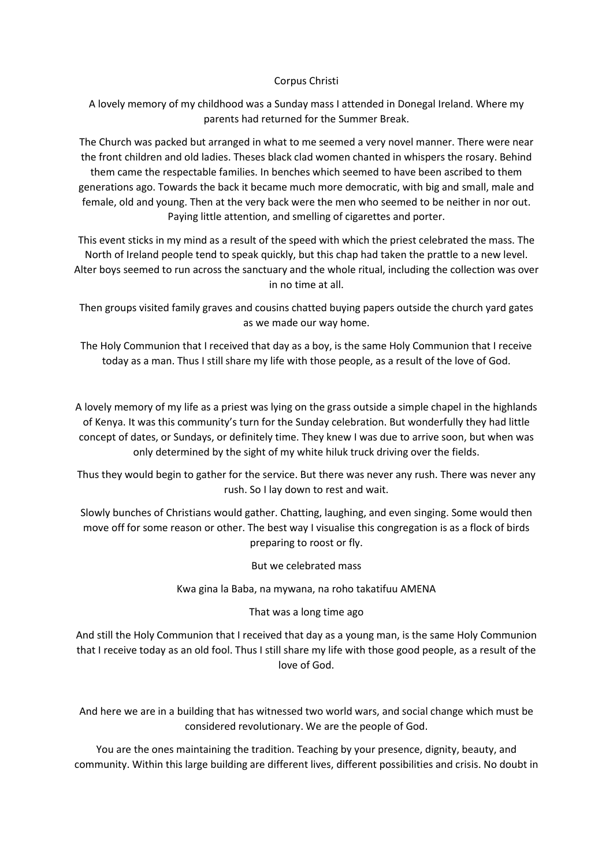## Corpus Christi

A lovely memory of my childhood was a Sunday mass I attended in Donegal Ireland. Where my parents had returned for the Summer Break.

The Church was packed but arranged in what to me seemed a very novel manner. There were near the front children and old ladies. Theses black clad women chanted in whispers the rosary. Behind them came the respectable families. In benches which seemed to have been ascribed to them generations ago. Towards the back it became much more democratic, with big and small, male and female, old and young. Then at the very back were the men who seemed to be neither in nor out. Paying little attention, and smelling of cigarettes and porter.

This event sticks in my mind as a result of the speed with which the priest celebrated the mass. The North of Ireland people tend to speak quickly, but this chap had taken the prattle to a new level. Alter boys seemed to run across the sanctuary and the whole ritual, including the collection was over in no time at all.

Then groups visited family graves and cousins chatted buying papers outside the church yard gates as we made our way home.

The Holy Communion that I received that day as a boy, is the same Holy Communion that I receive today as a man. Thus I still share my life with those people, as a result of the love of God.

A lovely memory of my life as a priest was lying on the grass outside a simple chapel in the highlands of Kenya. It was this community's turn for the Sunday celebration. But wonderfully they had little concept of dates, or Sundays, or definitely time. They knew I was due to arrive soon, but when was only determined by the sight of my white hiluk truck driving over the fields.

Thus they would begin to gather for the service. But there was never any rush. There was never any rush. So I lay down to rest and wait.

Slowly bunches of Christians would gather. Chatting, laughing, and even singing. Some would then move off for some reason or other. The best way I visualise this congregation is as a flock of birds preparing to roost or fly.

But we celebrated mass

Kwa gina la Baba, na mywana, na roho takatifuu AMENA

## That was a long time ago

And still the Holy Communion that I received that day as a young man, is the same Holy Communion that I receive today as an old fool. Thus I still share my life with those good people, as a result of the love of God.

And here we are in a building that has witnessed two world wars, and social change which must be considered revolutionary. We are the people of God.

You are the ones maintaining the tradition. Teaching by your presence, dignity, beauty, and community. Within this large building are different lives, different possibilities and crisis. No doubt in